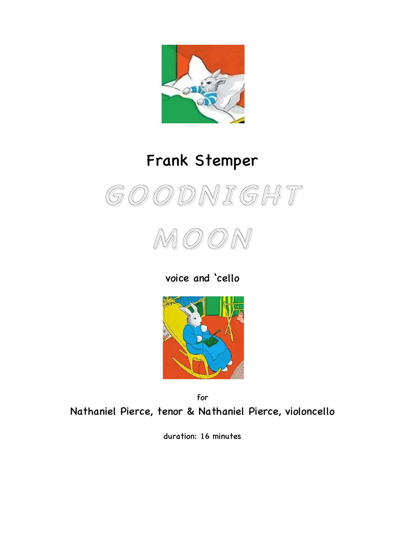

## Frank Stemper





voice and 'cello



for Nathaniel Pierce, tenor & Nathaniel Pierce, violoncello

duration: 16 minutes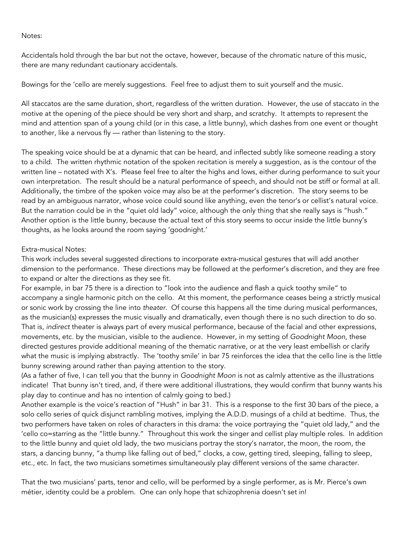Notes:

Accidentals hold through the bar but not the octave, however, because of the chromatic nature of this music, there are many redundant cautionary accidentals.

Bowings for the 'cello are merely suggestions. Feel free to adjust them to suit yourself and the music.

All staccatos are the same duration, short, regardless of the written duration. However, the use of staccato in the motive at the opening of the piece should be very short and sharp, and scratchy. It attempts to represent the mind and attention span of a young child (or in this case, a little bunny), which dashes from one event or thought to another, like a nervous fly — rather than listening to the story.

The speaking voice should be at a dynamic that can be heard, and inflected subtly like someone reading a story to a child. The written rhythmic notation of the spoken recitation is merely a suggestion, as is the contour of the written line – notated with X's. Please feel free to alter the highs and lows, either during performance to suit your own interpretation. The result should be a natural performance of speech, and should not be stiff or formal at all. Additionally, the timbre of the spoken voice may also be at the performer's discretion. The story seems to be read by an ambiguous narrator, whose voice could sound like anything, even the tenor's or cellist's natural voice. But the narration could be in the "quiet old lady" voice, although the only thing that she really says is "hush." Another option is the little bunny, because the actual text of this story seems to occur inside the little bunny's thoughts, as he looks around the room saying 'goodnight.'

## Extra-musical Notes:

This work includes several suggested directions to incorporate extra-musical gestures that will add another dimension to the performance. These directions may be followed at the performer's discretion, and they are free to expand or alter the directions as they see fit.

For example, in bar 75 there is a direction to "look into the audience and flash a quick toothy smile" to accompany a single harmonic pitch on the cello. At this moment, the performance ceases being a strictly musical or sonic work by crossing the line into *theater*. Of course this happens all the time during musical performances, as the musician(s) expresses the music visually and dramatically, even though there is no such direction to do so. That is, *indirect* theater is always part of every musical performance, because of the facial and other expressions, movements, etc. by the musician, visible to the audience. However, in my setting of *Goodnight Moon*, these directed gestures provide additional meaning of the thematic narrative, or at the very least embellish or clarify what the music is implying abstractly. The 'toothy smile' in bar 75 reinforces the idea that the cello line is the little bunny screwing around rather than paying attention to the story.

(As a father of five, I can tell you that the bunny in *Goodnight Moon* is not as calmly attentive as the illustrations indicate! That bunny isn't tired, and, if there were additional illustrations, they would confirm that bunny wants his play day to continue and has no intention of calmly going to bed.)

Another example is the voice's reaction of "Hush" in bar 31. This is a response to the first 30 bars of the piece, a solo cello series of quick disjunct rambling motives, implying the A.D.D. musings of a child at bedtime. Thus, the two performers have taken on roles of characters in this drama: the voice portraying the "quiet old lady," and the 'cello co=starring as the "little bunny." Throughout this work the singer and cellist play multiple roles. In addition to the little bunny and quiet old lady, the two musicians portray the story's narrator, the moon, the room, the stars, a dancing bunny, "a thump like falling out of bed," clocks, a cow, getting tired, sleeping, falling to sleep, etc., etc. In fact, the two musicians sometimes simultaneously play different versions of the same character.

That the two musicians' parts, tenor and cello, will be performed by a single performer, as is Mr. Pierce's own métier, identity could be a problem. One can only hope that schizophrenia doesn't set in!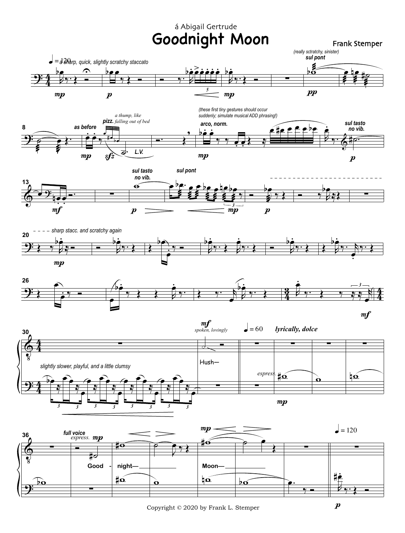## Goodnight Moon Frank Stemper á Abigail Gertrude













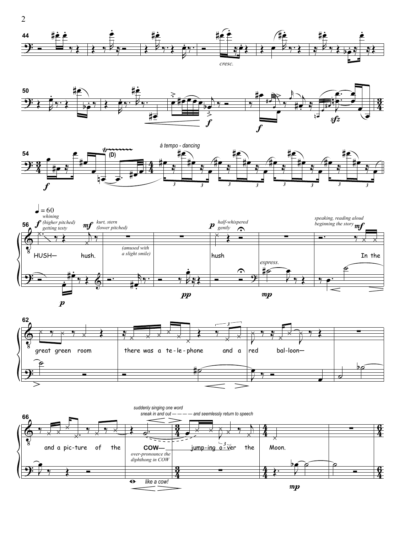









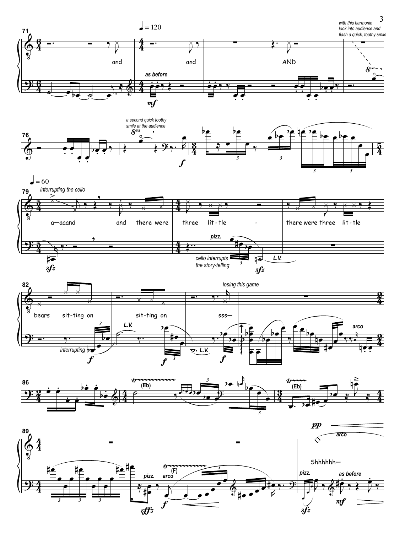









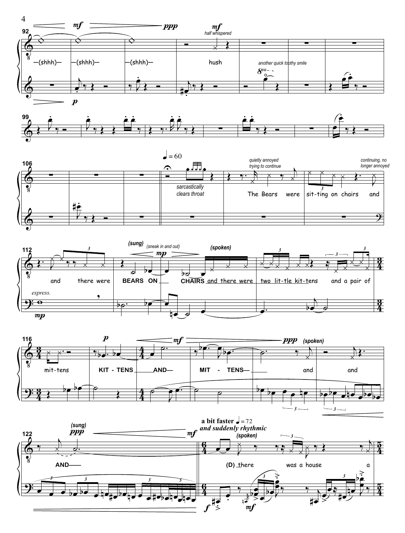









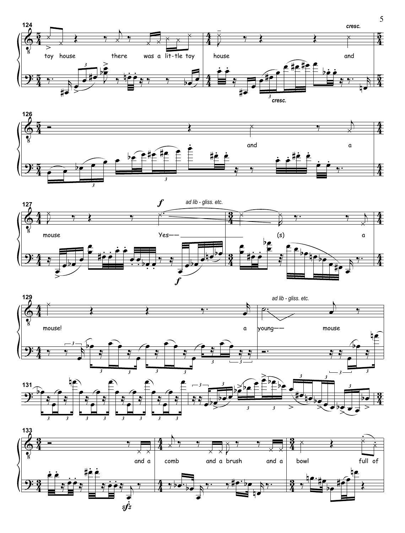







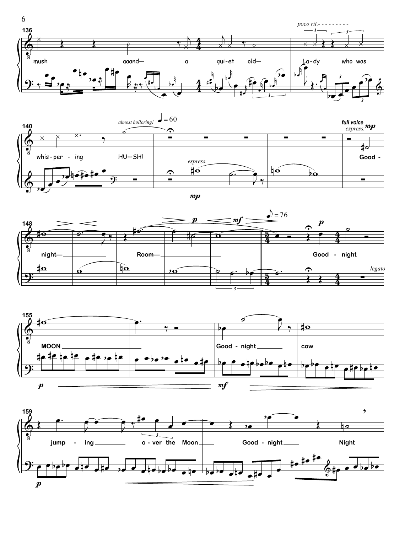







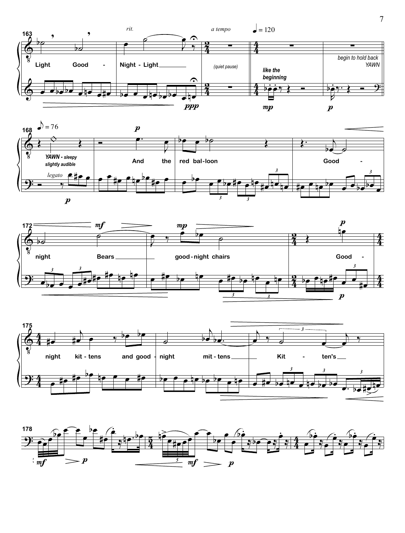







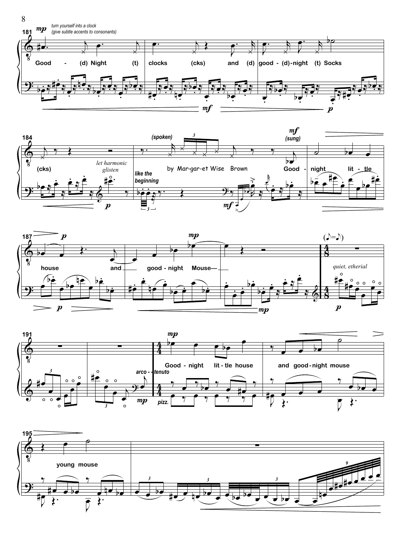







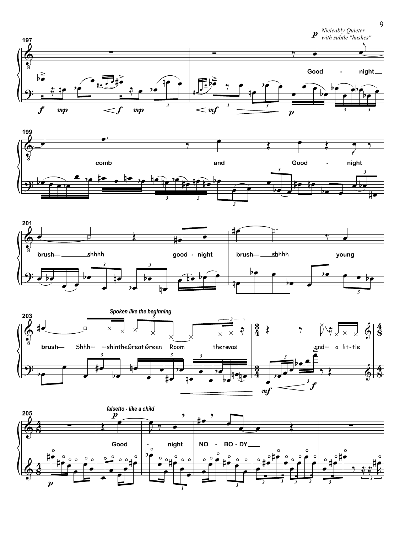







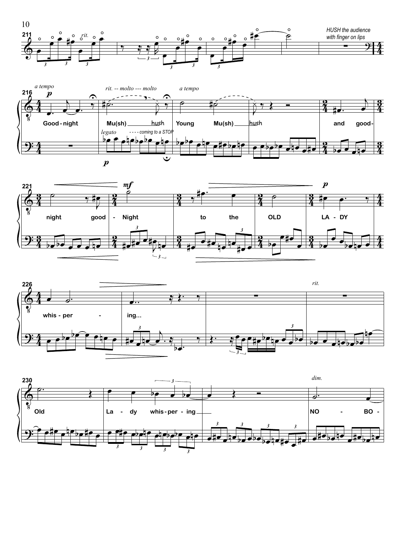